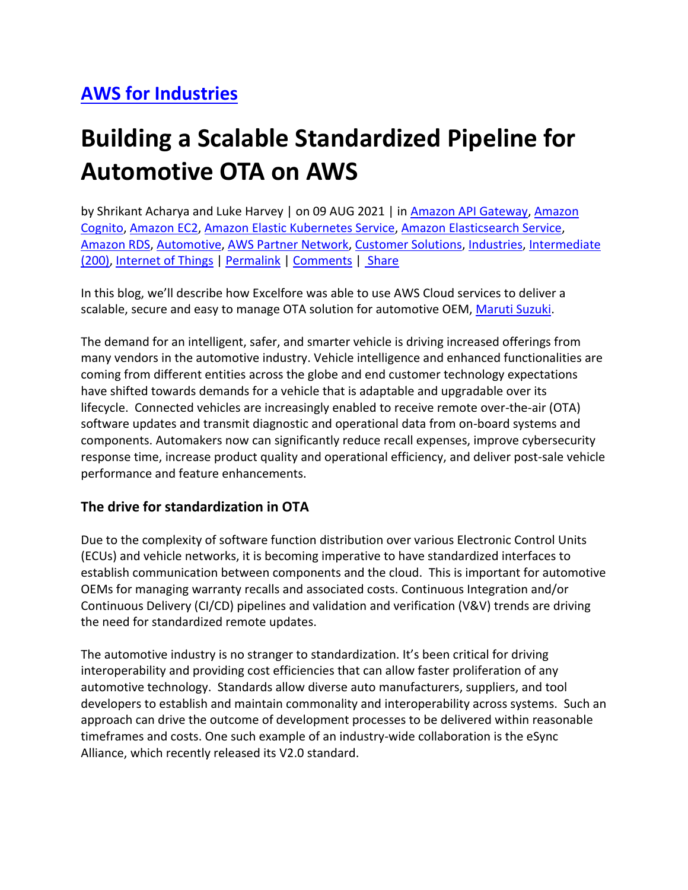## **[AWS for Industries](https://aws.amazon.com/blogs/industries/)**

# **Building a Scalable Standardized Pipeline for Automotive OTA on AWS**

by Shrikant Acharya and Luke Harvey | on 09 AUG 2021 | in [Amazon API Gateway,](https://aws.amazon.com/blogs/industries/category/application-services/amazon-api-gateway-application-services/) [Amazon](https://aws.amazon.com/blogs/industries/category/security-identity-compliance/amazon-cognito/)  [Cognito,](https://aws.amazon.com/blogs/industries/category/security-identity-compliance/amazon-cognito/) [Amazon EC2,](https://aws.amazon.com/blogs/industries/category/compute/amazon-ec2/) [Amazon Elastic Kubernetes Service,](https://aws.amazon.com/blogs/industries/category/compute/amazon-kubernetes-service/) [Amazon Elasticsearch Service,](https://aws.amazon.com/blogs/industries/category/analytics/amazon-elasticsearch-service/) [Amazon RDS,](https://aws.amazon.com/blogs/industries/category/database/amazon-rds/) [Automotive,](https://aws.amazon.com/blogs/industries/category/industries/automotive/) [AWS Partner Network,](https://aws.amazon.com/blogs/industries/category/aws-partner-network/) [Customer Solutions,](https://aws.amazon.com/blogs/industries/category/post-types/customer-solutions/) [Industries,](https://aws.amazon.com/blogs/industries/category/industries/) [Intermediate](https://aws.amazon.com/blogs/industries/category/learning-levels/intermediate-200/)  [\(200\),](https://aws.amazon.com/blogs/industries/category/learning-levels/intermediate-200/) [Internet of Things](https://aws.amazon.com/blogs/industries/category/internet-of-things/) | [Permalink](https://aws.amazon.com/blogs/industries/building-a-scalable-standardized-pipeline-for-automotive-ota-on-aws/) | [Comments](https://commenting.awsblogs.com/embed.html?disqus_shortname=aws-for-industries-blog&disqus_identifier=7664&disqus_title=Building+a+Scalable+Standardized+Pipeline+for+Automotive+OTA+on+AWS&disqus_url=https://aws.amazon.com/blogs/industries/building-a-scalable-standardized-pipeline-for-automotive-ota-on-aws/) | [Share](https://aws.amazon.com/blogs/industries/building-a-scalable-standardized-pipeline-for-automotive-ota-on-aws/)

In this blog, we'll describe how Excelfore was able to use AWS Cloud services to deliver a scalable, secure and easy to manage OTA solution for automotive OEM, [Maruti Suzuki.](https://www.marutisuzuki.com/)

The demand for an intelligent, safer, and smarter vehicle is driving increased offerings from many vendors in the automotive industry. Vehicle intelligence and enhanced functionalities are coming from different entities across the globe and end customer technology expectations have shifted towards demands for a vehicle that is adaptable and upgradable over its lifecycle. Connected vehicles are increasingly enabled to receive remote over-the-air (OTA) software updates and transmit diagnostic and operational data from on-board systems and components. Automakers now can significantly reduce recall expenses, improve cybersecurity response time, increase product quality and operational efficiency, and deliver post-sale vehicle performance and feature enhancements.

#### **The drive for standardization in OTA**

Due to the complexity of software function distribution over various Electronic Control Units (ECUs) and vehicle networks, it is becoming imperative to have standardized interfaces to establish communication between components and the cloud. This is important for automotive OEMs for managing warranty recalls and associated costs. Continuous Integration and/or Continuous Delivery (CI/CD) pipelines and validation and verification (V&V) trends are driving the need for standardized remote updates.

The automotive industry is no stranger to standardization. It's been critical for driving interoperability and providing cost efficiencies that can allow faster proliferation of any automotive technology. Standards allow diverse auto manufacturers, suppliers, and tool developers to establish and maintain commonality and interoperability across systems. Such an approach can drive the outcome of development processes to be delivered within reasonable timeframes and costs. One such example of an industry-wide collaboration is the eSync Alliance, which recently released its V2.0 standard.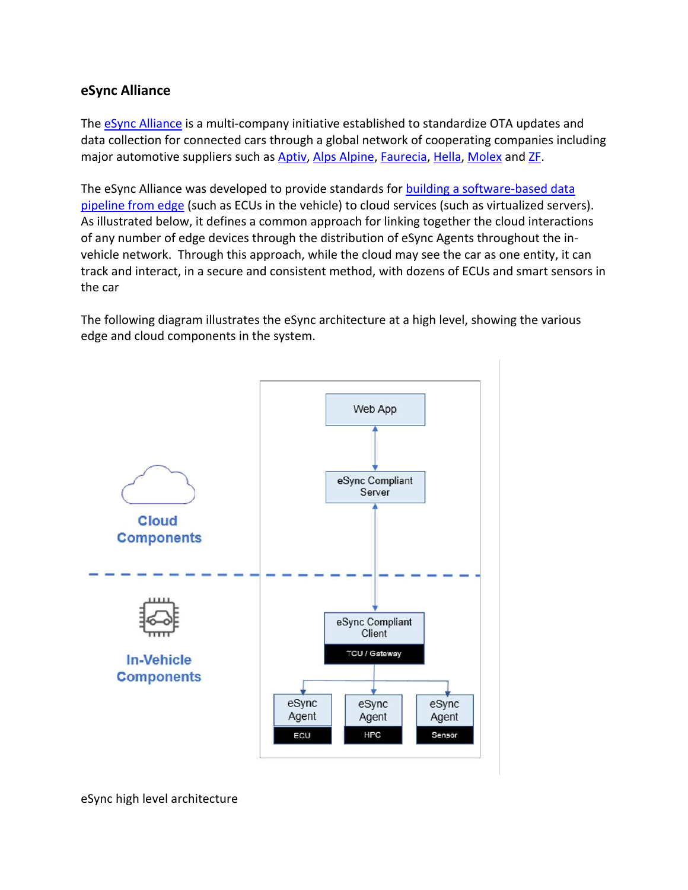#### **eSync Alliance**

The **eSync Alliance** is a multi-company initiative established to standardize OTA updates and data collection for connected cars through a global network of cooperating companies including major automotive suppliers such as [Aptiv,](https://www.aptiv.com/) [Alps Alpine,](https://www.alpsalpine.com/) [Faurecia,](https://www.faurecia.com/) [Hella,](https://www.hella.com/hella-com/index.html) [Molex](https://www.molex.com/molex/home) and [ZF.](https://www.zf.com/)

The eSync Alliance was developed to provide standards for [building a software-based data](http://www.esyncalliance.org/downloads)  [pipeline from edge](http://www.esyncalliance.org/downloads) (such as ECUs in the vehicle) to cloud services (such as virtualized servers). As illustrated below, it defines a common approach for linking together the cloud interactions of any number of edge devices through the distribution of eSync Agents throughout the invehicle network. Through this approach, while the cloud may see the car as one entity, it can track and interact, in a secure and consistent method, with dozens of ECUs and smart sensors in the car

The following diagram illustrates the eSync architecture at a high level, showing the various edge and cloud components in the system.

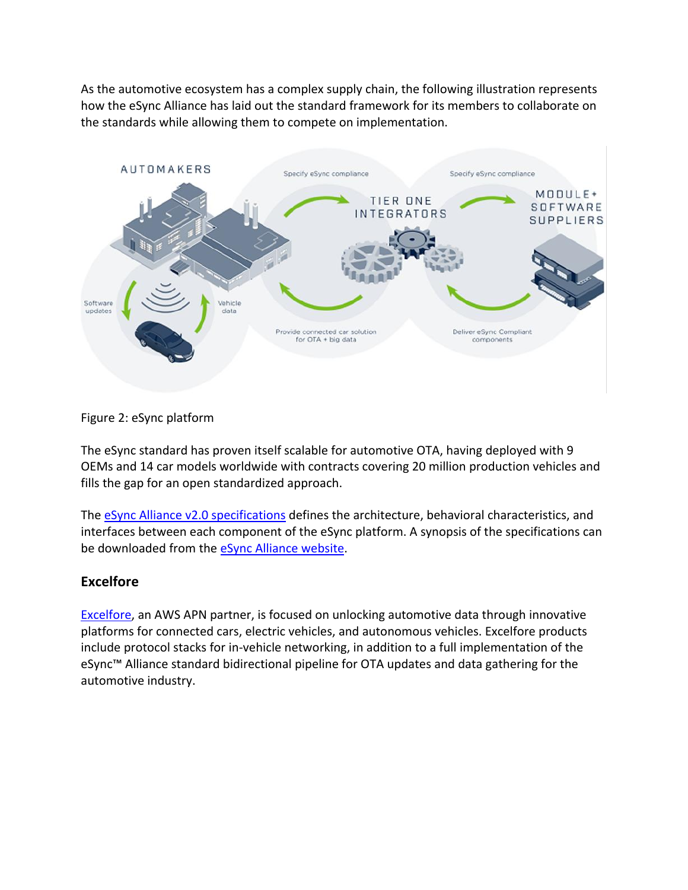As the automotive ecosystem has a complex supply chain, the following illustration represents how the eSync Alliance has laid out the standard framework for its members to collaborate on the standards while allowing them to compete on implementation.



Figure 2: eSync platform

The eSync standard has proven itself scalable for automotive OTA, having deployed with 9 OEMs and 14 car models worldwide with contracts covering 20 million production vehicles and fills the gap for an open standardized approach.

The [eSync Alliance v2.0 specifications](http://www.esyncalliance.org/downloads) defines the architecture, behavioral characteristics, and interfaces between each component of the eSync platform. A synopsis of the specifications can be downloaded from the **eSync Alliance website**.

#### **Excelfore**

[Excelfore,](https://excelfore.com/) an AWS APN partner, is focused on unlocking automotive data through innovative platforms for connected cars, electric vehicles, and autonomous vehicles. Excelfore products include protocol stacks for in-vehicle networking, in addition to a full implementation of the eSync™ Alliance standard bidirectional pipeline for OTA updates and data gathering for the automotive industry.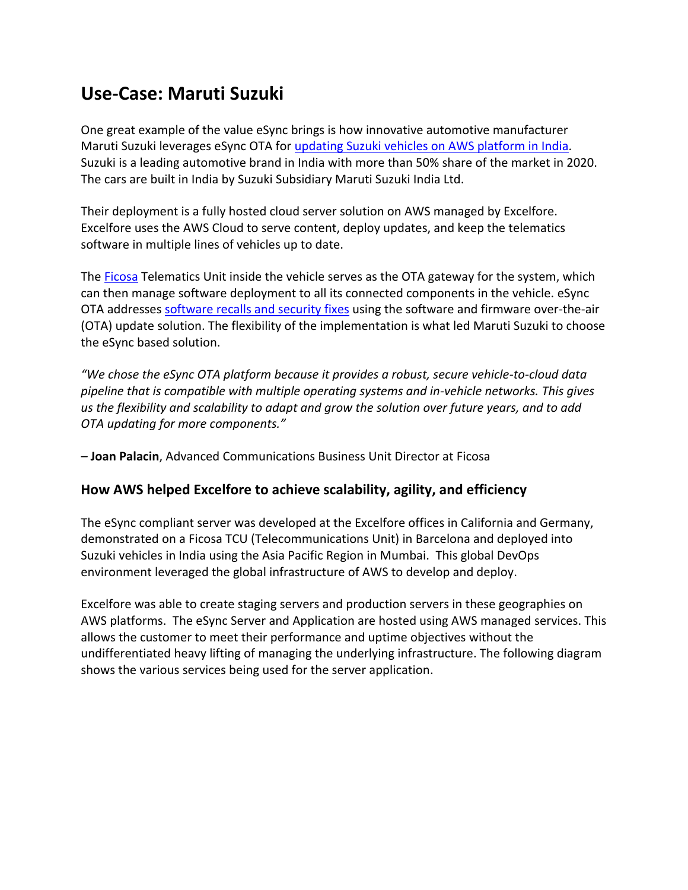## **Use-Case: Maruti Suzuki**

One great example of the value eSync brings is how innovative automotive manufacturer Maruti Suzuki leverages eSync OTA for [updating Suzuki vehicles on AWS platform in India.](https://auto.hindustantimes.com/auto/cars/maruti-suzuki-to-focus-on-quality-and-electrification-to-defend-50-market-share-41614258379386.html) Suzuki is a leading automotive brand in India with more than 50% share of the market in 2020. The cars are built in India by Suzuki Subsidiary Maruti Suzuki India Ltd.

Their deployment is a fully hosted cloud server solution on AWS managed by Excelfore. Excelfore uses the AWS Cloud to serve content, deploy updates, and keep the telematics software in multiple lines of vehicles up to date.

The [Ficosa](https://www.ficosa.com/) Telematics Unit inside the vehicle serves as the OTA gateway for the system, which can then manage software deployment to all its connected components in the vehicle. eSync OTA addresses [software recalls and security fixes](https://excelfore.com/blog/ficosa-chooses-esync-for-automotive-over-the-air-ota-updates-in-maruti-suzuki-cars/) using the software and firmware over-the-air (OTA) update solution. The flexibility of the implementation is what led Maruti Suzuki to choose the eSync based solution.

*"We chose the eSync OTA platform because it provides a robust, secure vehicle-to-cloud data pipeline that is compatible with multiple operating systems and in-vehicle networks. This gives us the flexibility and scalability to adapt and grow the solution over future years, and to add OTA updating for more components."*

*–* **Joan Palacin**, Advanced Communications Business Unit Director at Ficosa

#### **How AWS helped Excelfore to achieve scalability, agility, and efficiency**

The eSync compliant server was developed at the Excelfore offices in California and Germany, demonstrated on a Ficosa TCU (Telecommunications Unit) in Barcelona and deployed into Suzuki vehicles in India using the Asia Pacific Region in Mumbai. This global DevOps environment leveraged the global infrastructure of AWS to develop and deploy.

Excelfore was able to create staging servers and production servers in these geographies on AWS platforms. The eSync Server and Application are hosted using AWS managed services. This allows the customer to meet their performance and uptime objectives without the undifferentiated heavy lifting of managing the underlying infrastructure. The following diagram shows the various services being used for the server application.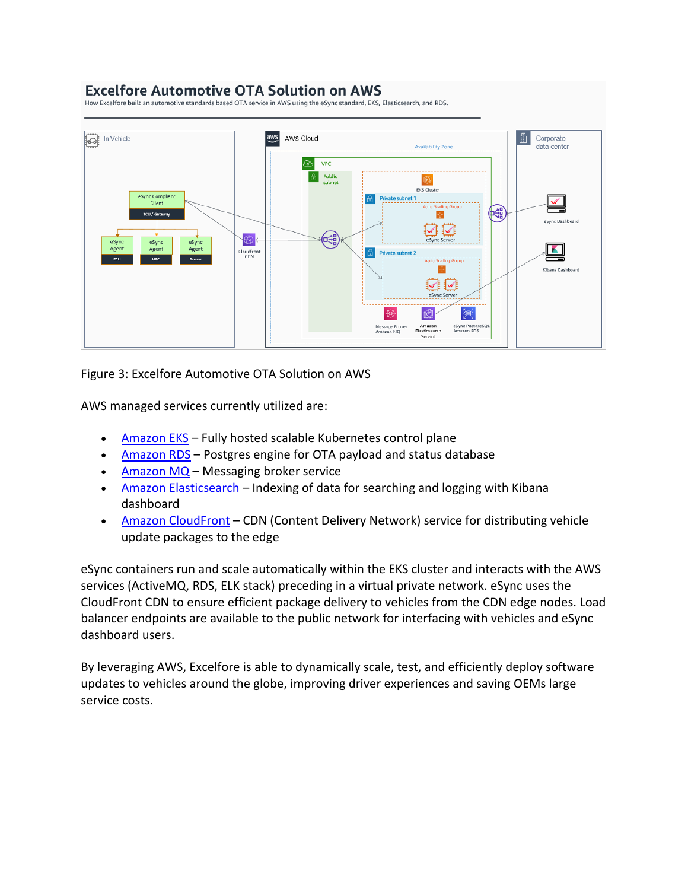#### **Excelfore Automotive OTA Solution on AWS**

How Excelfore built an automotive standards based OTA service in AWS using the eSync standard, EKS, Elasticsearch, and RDS.



Figure 3: Excelfore Automotive OTA Solution on AWS

AWS managed services currently utilized are:

- [Amazon EKS](https://aws.amazon.com/eks/) Fully hosted scalable Kubernetes control plane
- [Amazon RDS](https://aws.amazon.com/rds/postgresql/) Postgres engine for OTA payload and status database
- [Amazon MQ](https://aws.amazon.com/amazon-mq/?amazon-mq.sort-by=item.additionalFields.postDateTime&amazon-mq.sort-order=desc) Messaging broker service
- [Amazon Elasticsearch](https://aws.amazon.com/elasticsearch-service/) Indexing of data for searching and logging with Kibana dashboard
- [Amazon CloudFront](https://aws.amazon.com/cloudfront/) CDN (Content Delivery Network) service for distributing vehicle update packages to the edge

eSync containers run and scale automatically within the EKS cluster and interacts with the AWS services (ActiveMQ, RDS, ELK stack) preceding in a virtual private network. eSync uses the CloudFront CDN to ensure efficient package delivery to vehicles from the CDN edge nodes. Load balancer endpoints are available to the public network for interfacing with vehicles and eSync dashboard users.

By leveraging AWS, Excelfore is able to dynamically scale, test, and efficiently deploy software updates to vehicles around the globe, improving driver experiences and saving OEMs large service costs.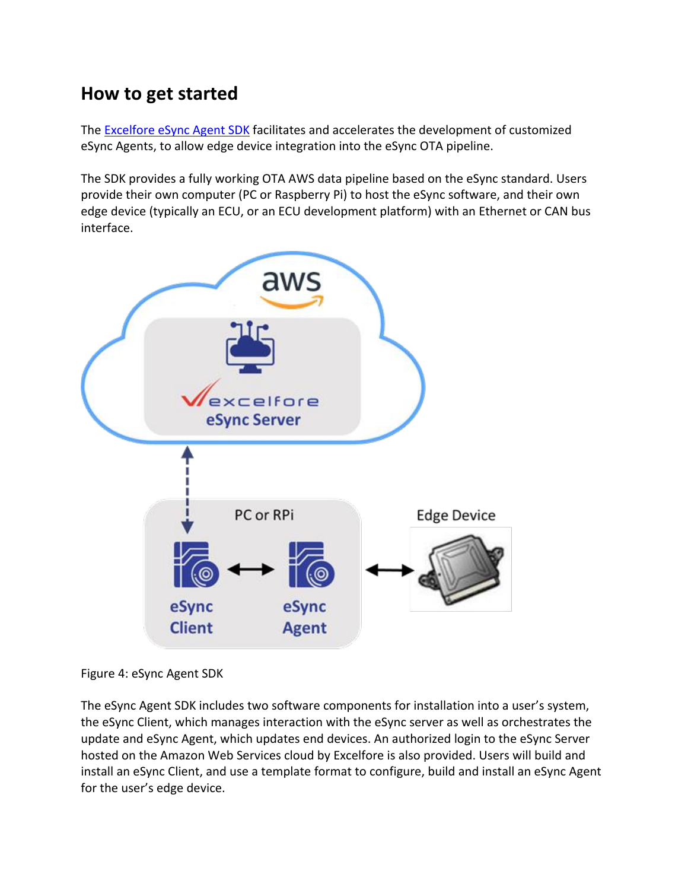## **How to get started**

The [Excelfore eSync Agent SDK](https://excelfore.com/downloads/) facilitates and accelerates the development of customized eSync Agents, to allow edge device integration into the eSync OTA pipeline.

The SDK provides a fully working OTA AWS data pipeline based on the eSync standard. Users provide their own computer (PC or Raspberry Pi) to host the eSync software, and their own edge device (typically an ECU, or an ECU development platform) with an Ethernet or CAN bus interface.



Figure 4: eSync Agent SDK

The eSync Agent SDK includes two software components for installation into a user's system, the eSync Client, which manages interaction with the eSync server as well as orchestrates the update and eSync Agent, which updates end devices. An authorized login to the eSync Server hosted on the Amazon Web Services cloud by Excelfore is also provided. Users will build and install an eSync Client, and use a template format to configure, build and install an eSync Agent for the user's edge device.